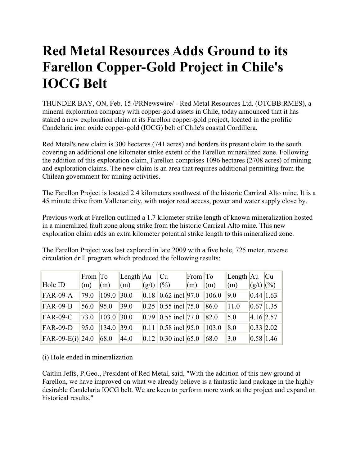## **Red Metal Resources Adds Ground to its Farellon Copper-Gold Project in Chile's IOCG Belt**

THUNDER BAY, ON, Feb. 15 /PRNewswire/ - Red Metal Resources Ltd. (OTCBB:RMES), a mineral exploration company with copper-gold assets in Chile, today announced that it has staked a new exploration claim at its Farellon copper-gold project, located in the prolific Candelaria iron oxide copper-gold (IOCG) belt of Chile's coastal Cordillera.

Red Metal's new claim is 300 hectares (741 acres) and borders its present claim to the south covering an additional one kilometer strike extent of the Farellon mineralized zone. Following the addition of this exploration claim, Farellon comprises 1096 hectares (2708 acres) of mining and exploration claims. The new claim is an area that requires additional permitting from the Chilean government for mining activities.

The Farellon Project is located 2.4 kilometers southwest of the historic Carrizal Alto mine. It is a 45 minute drive from Vallenar city, with major road access, power and water supply close by.

Previous work at Farellon outlined a 1.7 kilometer strike length of known mineralization hosted in a mineralized fault zone along strike from the historic Carrizal Alto mine. This new exploration claim adds an extra kilometer potential strike length to this mineralized zone.

The Farellon Project was last explored in late 2009 with a five hole, 725 meter, reverse circulation drill program which produced the following results:

|                     | From To |       | Length  Au     |                    | Cu                                                    | From To |              | $\vert$ Length $\vert$ Au $\vert$ Cu |             |  |
|---------------------|---------|-------|----------------|--------------------|-------------------------------------------------------|---------|--------------|--------------------------------------|-------------|--|
| Hole ID             | (m)     | (m)   | (m)            | (g/t)              | (0/0)                                                 | (m)     | $\mathbf{m}$ | (m)                                  | $(g/t)$ (%) |  |
| <b>FAR-09-A</b>     | 79.0    | 109.0 | 30.0           |                    | $\ 0.18\ 0.62$ incl $\ 97.0\ $                        |         | 106.0        | 9.0                                  | 0.44 1.63   |  |
| <b>FAR-09-B</b>     | 56.0    | 95.0  | 39.0           |                    | $\vert 0.25 \vert \vert 0.55$ incl $\vert 75.0 \vert$ |         | 86.0         | 11.0                                 | 0.67 1.35   |  |
| <b>FAR-09-C</b>     | 73.0    | 103.0 | 30.0           |                    | $\ 0.79\ 0.55\$ incl $\ 77.0\ $                       |         | 82.0         | 5.0                                  | 4.16 2.57   |  |
| <b>FAR-09-D</b>     | 95.0    | 134.0 | $ 39.0\rangle$ | $\vert 0.11 \vert$ | $ 0.58 \text{ incl}  95.0$                            |         | 103.0        | 8.0                                  | 0.33 2.02   |  |
| $ FAR-09-E(i) 24.0$ |         | 68.0  | 44.0           |                    | $ 0.12   0.30$ incl 65.0                              |         | 68.0         | 3.0                                  | 0.58 1.46   |  |

(i) Hole ended in mineralization

Caitlin Jeffs, P.Geo., President of Red Metal, said, "With the addition of this new ground at Farellon, we have improved on what we already believe is a fantastic land package in the highly desirable Candelaria IOCG belt. We are keen to perform more work at the project and expand on historical results."